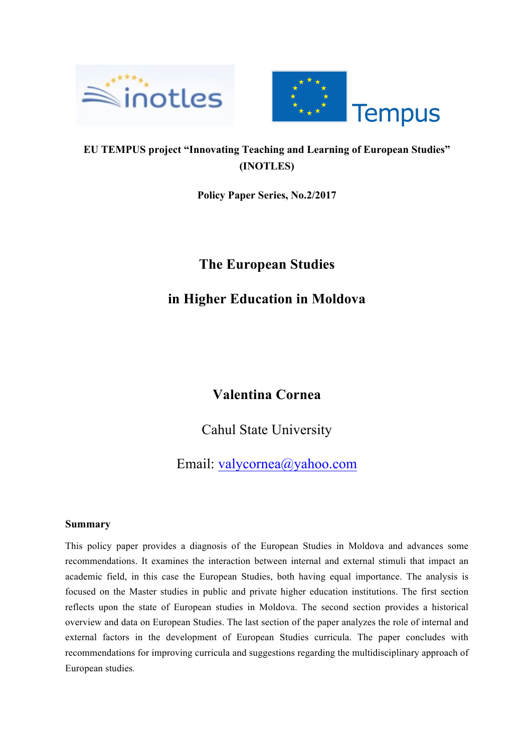



### **EU TEMPUS project "Innovating Teaching and Learning of European Studies" (INOTLES)**

**Policy Paper Series, No.2/2017**

## **The European Studies**

# **in Higher Education in Moldova**

### **Valentina Cornea**

Cahul State University

Email: valycornea@yahoo.com

### **Summary**

This policy paper provides a diagnosis of the European Studies in Moldova and advances some recommendations. It examines the interaction between internal and external stimuli that impact an academic field, in this case the European Studies, both having equal importance. The analysis is focused on the Master studies in public and private higher education institutions. The first section reflects upon the state of European studies in Moldova. The second section provides a historical overview and data on European Studies. The last section of the paper analyzes the role of internal and external factors in the development of European Studies curricula. The paper concludes with recommendations for improving curricula and suggestions regarding the multidisciplinary approach of European studies*.*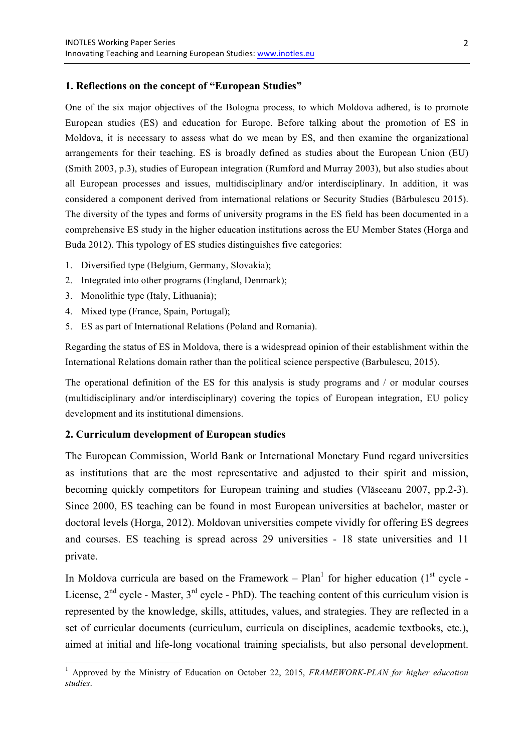#### **1. Reflections on the concept of "European Studies"**

One of the six major objectives of the Bologna process, to which Moldova adhered, is to promote European studies (ES) and education for Europe. Before talking about the promotion of ES in Moldova, it is necessary to assess what do we mean by ES, and then examine the organizational arrangements for their teaching. ES is broadly defined as studies about the European Union (EU) (Smith 2003, p.3), studies of European integration (Rumford and Murray 2003), but also studies about all European processes and issues, multidisciplinary and/or interdisciplinary. In addition, it was considered a component derived from international relations or Security Studies (Bărbulescu 2015). The diversity of the types and forms of university programs in the ES field has been documented in a comprehensive ES study in the higher education institutions across the EU Member States (Horga and Buda 2012). This typology of ES studies distinguishes five categories:

- 1. Diversified type (Belgium, Germany, Slovakia);
- 2. Integrated into other programs (England, Denmark);
- 3. Monolithic type (Italy, Lithuania);
- 4. Mixed type (France, Spain, Portugal);
- 5. ES as part of International Relations (Poland and Romania).

Regarding the status of ES in Moldova, there is a widespread opinion of their establishment within the International Relations domain rather than the political science perspective (Barbulescu, 2015).

The operational definition of the ES for this analysis is study programs and / or modular courses (multidisciplinary and/or interdisciplinary) covering the topics of European integration, EU policy development and its institutional dimensions.

#### **2. Curriculum development of European studies**

The European Commission, World Bank or International Monetary Fund regard universities as institutions that are the most representative and adjusted to their spirit and mission, becoming quickly competitors for European training and studies (Vlăsceanu 2007, pp.2-3). Since 2000, ES teaching can be found in most European universities at bachelor, master or doctoral levels (Horga, 2012). Moldovan universities compete vividly for offering ES degrees and courses. ES teaching is spread across 29 universities - 18 state universities and 11 private.

In Moldova curricula are based on the Framework –  $Plan<sup>1</sup>$  for higher education (1<sup>st</sup> cycle -License,  $2<sup>nd</sup>$  cycle - Master,  $3<sup>rd</sup>$  cycle - PhD). The teaching content of this curriculum vision is represented by the knowledge, skills, attitudes, values, and strategies. They are reflected in a set of curricular documents (curriculum, curricula on disciplines, academic textbooks, etc.), aimed at initial and life-long vocational training specialists, but also personal development.

 <sup>1</sup> Approved by the Ministry of Education on October 22, 2015, *FRAMEWORK-PLAN for higher education studies*.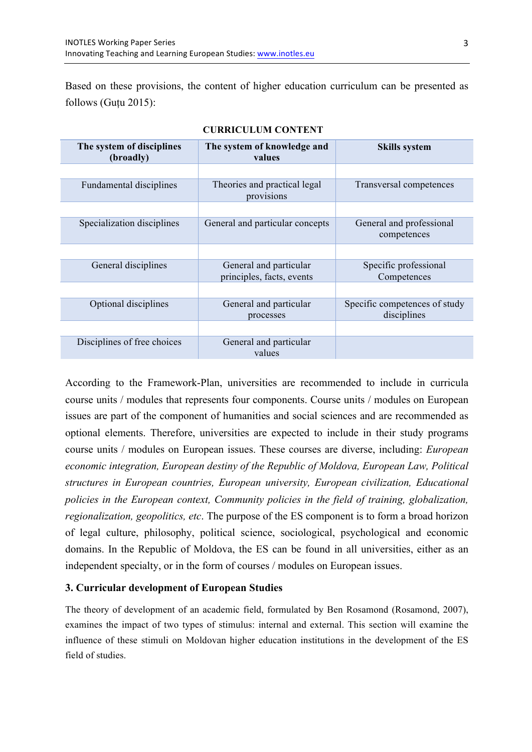Based on these provisions, the content of higher education curriculum can be presented as follows (Guțu 2015):

| The system of disciplines<br>(broadly) | The system of knowledge and<br>values               | <b>Skills system</b>                         |
|----------------------------------------|-----------------------------------------------------|----------------------------------------------|
|                                        |                                                     |                                              |
| <b>Fundamental disciplines</b>         | Theories and practical legal<br>provisions          | Transversal competences                      |
|                                        |                                                     |                                              |
| Specialization disciplines             | General and particular concepts                     | General and professional<br>competences      |
|                                        |                                                     |                                              |
| General disciplines                    | General and particular<br>principles, facts, events | Specific professional<br>Competences         |
|                                        |                                                     |                                              |
| Optional disciplines                   | General and particular<br>processes                 | Specific competences of study<br>disciplines |
|                                        |                                                     |                                              |
| Disciplines of free choices            | General and particular<br>values                    |                                              |

#### **CURRICULUM CONTENT**

According to the Framework-Plan, universities are recommended to include in curricula course units / modules that represents four components. Course units / modules on European issues are part of the component of humanities and social sciences and are recommended as optional elements. Therefore, universities are expected to include in their study programs course units / modules on European issues. These courses are diverse, including: *European economic integration, European destiny of the Republic of Moldova, European Law, Political structures in European countries, European university, European civilization, Educational policies in the European context, Community policies in the field of training, globalization, regionalization, geopolitics, etc*. The purpose of the ES component is to form a broad horizon of legal culture, philosophy, political science, sociological, psychological and economic domains. In the Republic of Moldova, the ES can be found in all universities, either as an independent specialty, or in the form of courses / modules on European issues.

#### **3. Curricular development of European Studies**

The theory of development of an academic field, formulated by Ben Rosamond (Rosamond, 2007), examines the impact of two types of stimulus: internal and external. This section will examine the influence of these stimuli on Moldovan higher education institutions in the development of the ES field of studies.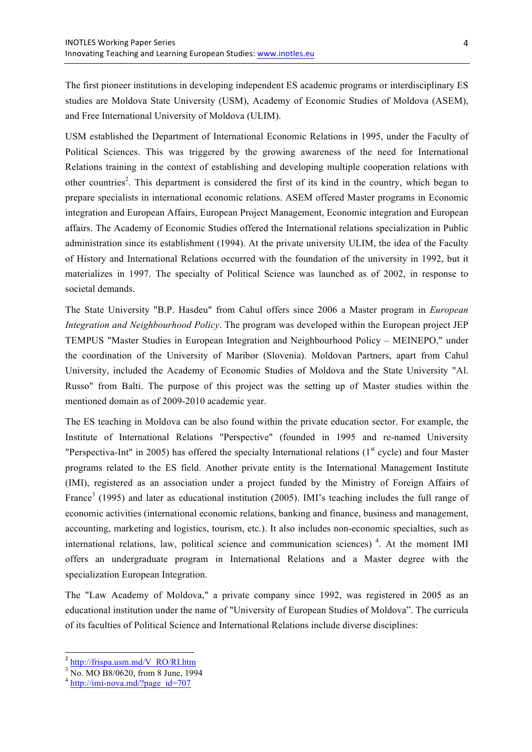The first pioneer institutions in developing independent ES academic programs or interdisciplinary ES studies are Moldova State University (USM), Academy of Economic Studies of Moldova (ASEM), and Free International University of Moldova (ULIM).

USM established the Department of International Economic Relations in 1995, under the Faculty of Political Sciences. This was triggered by the growing awareness of the need for International Relations training in the context of establishing and developing multiple cooperation relations with other countries<sup>2</sup>. This department is considered the first of its kind in the country, which began to prepare specialists in international economic relations. ASEM offered Master programs in Economic integration and European Affairs, European Project Management, Economic integration and European affairs. The Academy of Economic Studies offered the International relations specialization in Public administration since its establishment (1994). At the private university ULIM, the idea of the Faculty of History and International Relations occurred with the foundation of the university in 1992, but it materializes in 1997. The specialty of Political Science was launched as of 2002, in response to societal demands.

The State University "B.P. Hasdeu" from Cahul offers since 2006 a Master program in *European Integration and Neighbourhood Policy*. The program was developed within the European project JEP TEMPUS "Master Studies in European Integration and Neighbourhood Policy – MEINEPO," under the coordination of the University of Maribor (Slovenia). Moldovan Partners, apart from Cahul University, included the Academy of Economic Studies of Moldova and the State University "Al. Russo" from Balti. The purpose of this project was the setting up of Master studies within the mentioned domain as of 2009-2010 academic year.

The ES teaching in Moldova can be also found within the private education sector. For example, the Institute of International Relations "Perspective" (founded in 1995 and re-named University "Perspectiva-Int" in 2005) has offered the specialty International relations ( $1<sup>st</sup>$  cycle) and four Master programs related to the ES field. Another private entity is the International Management Institute (IMI), registered as an association under a project funded by the Ministry of Foreign Affairs of France<sup>3</sup> (1995) and later as educational institution (2005). IMI's teaching includes the full range of economic activities (international economic relations, banking and finance, business and management, accounting, marketing and logistics, tourism, etc.). It also includes non-economic specialties, such as international relations, law, political science and communication sciences)<sup>4</sup>. At the moment IMI offers an undergraduate program in International Relations and a Master degree with the specialization European Integration.

The "Law Academy of Moldova," a private company since 1992, was registered in 2005 as an educational institution under the name of "University of European Studies of Moldova". The curricula of its faculties of Political Science and International Relations include diverse disciplines:

 $^{2}$  http://frispa.usm.md/V\_RO/RI.htm

 $3\overline{NO}$ . MO B8/0620, from 8 June, 1994

<sup>4</sup> http://imi-nova.md/?page\_id=707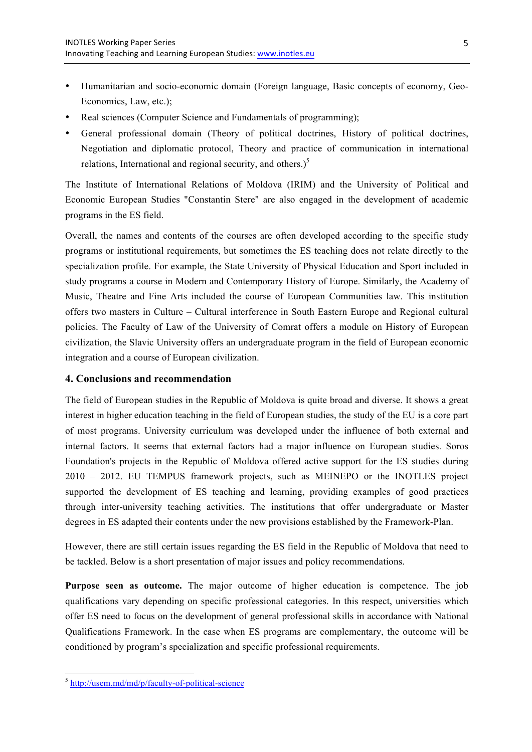- Humanitarian and socio-economic domain (Foreign language, Basic concepts of economy, Geo-Economics, Law, etc.);
- Real sciences (Computer Science and Fundamentals of programming);
- General professional domain (Theory of political doctrines, History of political doctrines, Negotiation and diplomatic protocol, Theory and practice of communication in international relations, International and regional security, and others.) $<sup>5</sup>$ </sup>

The Institute of International Relations of Moldova (IRIM) and the University of Political and Economic European Studies "Constantin Stere" are also engaged in the development of academic programs in the ES field.

Overall, the names and contents of the courses are often developed according to the specific study programs or institutional requirements, but sometimes the ES teaching does not relate directly to the specialization profile. For example, the State University of Physical Education and Sport included in study programs a course in Modern and Contemporary History of Europe. Similarly, the Academy of Music, Theatre and Fine Arts included the course of European Communities law. This institution offers two masters in Culture – Cultural interference in South Eastern Europe and Regional cultural policies. The Faculty of Law of the University of Comrat offers a module on History of European civilization, the Slavic University offers an undergraduate program in the field of European economic integration and a course of European civilization.

#### **4. Conclusions and recommendation**

The field of European studies in the Republic of Moldova is quite broad and diverse. It shows a great interest in higher education teaching in the field of European studies, the study of the EU is a core part of most programs. University curriculum was developed under the influence of both external and internal factors. It seems that external factors had a major influence on European studies. Soros Foundation's projects in the Republic of Moldova offered active support for the ES studies during 2010 – 2012. EU TEMPUS framework projects, such as MEINEPO or the INOTLES project supported the development of ES teaching and learning, providing examples of good practices through inter-university teaching activities. The institutions that offer undergraduate or Master degrees in ES adapted their contents under the new provisions established by the Framework-Plan.

However, there are still certain issues regarding the ES field in the Republic of Moldova that need to be tackled. Below is a short presentation of major issues and policy recommendations.

**Purpose seen as outcome.** The major outcome of higher education is competence. The job qualifications vary depending on specific professional categories. In this respect, universities which offer ES need to focus on the development of general professional skills in accordance with National Qualifications Framework. In the case when ES programs are complementary, the outcome will be conditioned by program's specialization and specific professional requirements.

 <sup>5</sup> http://usem.md/md/p/faculty-of-political-science